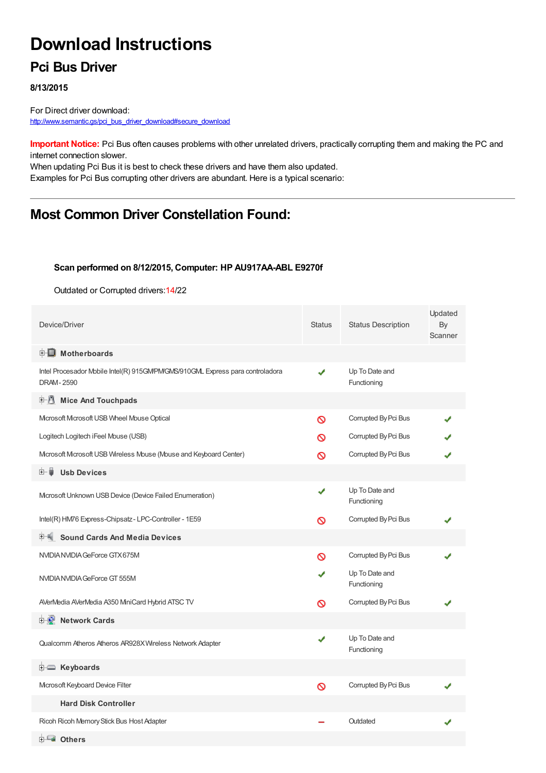# **Download Instructions**

### **Pci Bus Driver**

#### **8/13/2015**

For Direct driver download: [http://www.semantic.gs/pci\\_bus\\_driver\\_download#secure\\_download](http://www.semantic.gs/pci_bus_driver_download#secure_download)

**Important Notice:** Pci Bus often causes problems with other unrelated drivers, practically corrupting them and making the PC and internet connection slower.

When updating Pci Bus it is best to check these drivers and have them also updated. Examples for Pci Bus corrupting other drivers are abundant. Here is a typical scenario:

## **Most Common Driver Constellation Found:**

#### **Scan performed on 8/12/2015, Computer: HP AU917AA-ABL E9270f**

Outdated or Corrupted drivers:14/22

| Device/Driver                                                                                      | <b>Status</b> | <b>Status Description</b>     | Updated<br>By<br>Scanner |
|----------------------------------------------------------------------------------------------------|---------------|-------------------------------|--------------------------|
| <b>E</b> Motherboards                                                                              |               |                               |                          |
| Intel Procesador Mobile Intel(R) 915GM/PM/GMS/910GML Express para controladora<br><b>DRAM-2590</b> | ✔             | Up To Date and<br>Functioning |                          |
| 中心 Mice And Touchpads                                                                              |               |                               |                          |
| Microsoft Microsoft USB Wheel Mouse Optical                                                        | Ø             | Corrupted By Pci Bus          |                          |
| Logitech Logitech iFeel Mouse (USB)                                                                | ര             | Corrupted By Pci Bus          |                          |
| Mcrosoft Mcrosoft USB Wireless Mouse (Mouse and Keyboard Center)                                   | ര             | Corrupted By Pci Bus          |                          |
| <b>Usb Devices</b><br>⊞… ∎                                                                         |               |                               |                          |
| Mcrosoft Unknown USB Device (Device Failed Enumeration)                                            | ✔             | Up To Date and<br>Functioning |                          |
| Intel(R) HM76 Express-Chipsatz-LPC-Controller - 1E59                                               | Ø             | Corrupted By Pci Bus          |                          |
| <b>Sound Cards And Media Devices</b>                                                               |               |                               |                          |
| NVIDIA NVIDIA GeForce GTX 675M                                                                     | Ø             | Corrupted By Pci Bus          |                          |
| NVIDIA NVIDIA GeForce GT 555M                                                                      |               | Up To Date and<br>Functioning |                          |
| AVerMedia AVerMedia A350 MiniCard Hybrid ATSC TV                                                   | Ø             | Corrupted By Pci Bus          |                          |
| <b>Network Cards</b>                                                                               |               |                               |                          |
| Qualcomm Atheros Atheros AR928X Wireless Network Adapter                                           | ✔             | Up To Date and<br>Functioning |                          |
| <b>i</b> Keyboards                                                                                 |               |                               |                          |
| Mcrosoft Keyboard Device Filter                                                                    | Ø             | Corrupted By Pci Bus          |                          |
| <b>Hard Disk Controller</b>                                                                        |               |                               |                          |
| Ricoh Ricoh Memory Stick Bus Host Adapter                                                          |               | Outdated                      |                          |
| Dthers                                                                                             |               |                               |                          |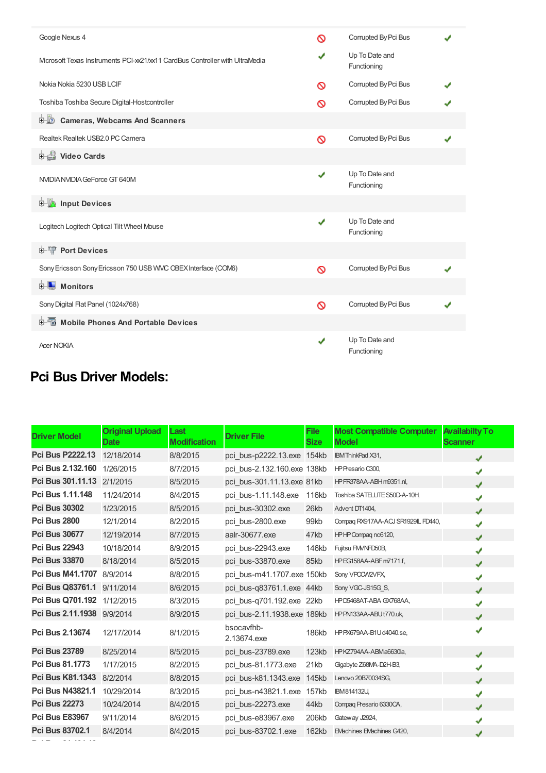| Google Nexus 4                                                               | ര | Corrupted By Pci Bus          |  |
|------------------------------------------------------------------------------|---|-------------------------------|--|
| Microsoft Texas Instruments PCI-xx21/xx11 CardBus Controller with UltraMedia | J | Up To Date and<br>Functioning |  |
| Nokia Nokia 5230 USB LCIF                                                    | ര | Corrupted By Pci Bus          |  |
| Toshiba Toshiba Secure Digital-Hostcontroller                                | ര | Corrupted By Pci Bus          |  |
| <b>D</b> Cameras, Webcams And Scanners                                       |   |                               |  |
| Realtek Realtek USB2.0 PC Camera                                             | Ø | Corrupted By Pci Bus          |  |
| Video Cards                                                                  |   |                               |  |
| NVIDIANVIDIA GeForce GT 640M                                                 | ✔ | Up To Date and<br>Functioning |  |
| <b>E</b> Input Devices                                                       |   |                               |  |
| Logitech Logitech Optical Tilt Wheel Mouse                                   | J | Up To Date and<br>Functioning |  |
| <b>E-19 Port Devices</b>                                                     |   |                               |  |
| Sony Ericsson Sony Ericsson 750 USB WMC OBEX Interface (COM6)                | Ø | Corrupted By Pci Bus          |  |
| <b>E</b> Monitors                                                            |   |                               |  |
| Sony Digital Flat Panel (1024x768)                                           | Ø | Corrupted By Pci Bus          |  |
| <b>E-6</b> Mobile Phones And Portable Devices                                |   |                               |  |
| <b>Acer NOKIA</b>                                                            | ✔ | Up To Date and<br>Functioning |  |

## **Pci Bus Driver Models:**

| <b>Driver Model</b>     | <b>Original Upload</b><br><b>Date</b> | Last<br><b>Modification</b> | <b>Driver File</b>          | File<br><b>Size</b> | <b>Most Compatible Computer</b><br><b>Model</b> | <b>Availabilty To</b><br><b>Scanner</b> |
|-------------------------|---------------------------------------|-----------------------------|-----------------------------|---------------------|-------------------------------------------------|-----------------------------------------|
| <b>Pci Bus P2222.13</b> | 12/18/2014                            | 8/8/2015                    | pci bus-p2222.13.exe 154kb  |                     | <b>IBM ThinkPad X31,</b>                        | J                                       |
| Pci Bus 2.132.160       | 1/26/2015                             | 8/7/2015                    | pci bus-2.132.160.exe 138kb |                     | HP Presario C300,                               | J                                       |
| Pci Bus 301.11.13       | 2/1/2015                              | 8/5/2015                    | pci bus-301.11.13.exe 81kb  |                     | HPFR378AA-ABHm9351.nl,                          | J                                       |
| Pci Bus 1.11.148        | 11/24/2014                            | 8/4/2015                    | pci bus-1.11.148.exe        | 116kb               | Toshiba SATELLITE S50D-A-10H                    | J                                       |
| <b>Pci Bus 30302</b>    | 1/23/2015                             | 8/5/2015                    | pci bus-30302.exe           | 26kb                | Advent DT1404,                                  | J                                       |
| <b>Pci Bus 2800</b>     | 12/1/2014                             | 8/2/2015                    | pci bus-2800.exe            | 99kb                | Compaq RX917AA-ACJ SR1929IL FD440,              | J                                       |
| <b>Pci Bus 30677</b>    | 12/19/2014                            | 8/7/2015                    | aalr-30677.exe              | 47kb                | HPHP Compagnc6120,                              | J                                       |
| <b>Pci Bus 22943</b>    | 10/18/2014                            | 8/9/2015                    | pci bus-22943.exe           | 146kb               | Fujitsu FM/NFD50B,                              | J                                       |
| <b>Pci Bus 33870</b>    | 8/18/2014                             | 8/5/2015                    | pci bus-33870.exe           | 85kb                | HP EG158AA-ABF m7171.f,                         | J                                       |
| <b>Pci Bus M41,1707</b> | 8/9/2014                              | 8/8/2015                    | pci bus-m41.1707.exe 150kb  |                     | Sony VPOCW2VFX,                                 | J                                       |
| Pci Bus Q83761.1        | 9/11/2014                             | 8/6/2015                    | pci bus-q83761.1.exe 44kb   |                     | Sony VGC-JS15G S,                               | J                                       |
| <b>Pci Bus Q701.192</b> | 1/12/2015                             | 8/3/2015                    | pci bus-q701.192.exe 22kb   |                     | HPD5468AT-ABA GX768AA,                          | J                                       |
| Pci Bus 2.11.1938       | 9/9/2014                              | 8/9/2015                    | pci bus-2.11.1938.exe 189kb |                     | HP PN133AA-ABUt770.uk,                          |                                         |
| <b>Pci Bus 2.13674</b>  | 12/17/2014                            | 8/1/2015                    | bsocavfhb-<br>2.13674.exe   | 186kb               | HPPX679AA-B1Ud4040.se,                          |                                         |
| <b>Pci Bus 23789</b>    | 8/25/2014                             | 8/5/2015                    | pci bus-23789.exe           | 123kb               | HPKZ794AA-ABMa6630la,                           | J                                       |
| <b>Pci Bus 81.1773</b>  | 1/17/2015                             | 8/2/2015                    | pci bus-81.1773.exe         | 21kb                | Gigabyte Z68MA-D2H-B3,                          |                                         |
| <b>Pci Bus K81.1343</b> | 8/2/2014                              | 8/8/2015                    | pci bus-k81.1343.exe        | 145kb               | Lenovo 20B70034SG,                              | J                                       |
| <b>Pci Bus N43821.1</b> | 10/29/2014                            | 8/3/2015                    | pci bus-n43821.1.exe        | 157kb               | <b>IBM814132U,</b>                              | J                                       |
| <b>Pci Bus 22273</b>    | 10/24/2014                            | 8/4/2015                    | pci bus-22273.exe           | 44kb                | Compag Presario 6330CA,                         | J                                       |
| <b>Pci Bus E83967</b>   | 9/11/2014                             | 8/6/2015                    | pci bus-e83967.exe          | 206kb               | Gateway J2924,                                  | J                                       |
| <b>Pci Bus 83702.1</b>  | 8/4/2014                              | 8/4/2015                    | pci bus-83702.1.exe         | 162kb               | EMachines EMachines G420,                       | ✔                                       |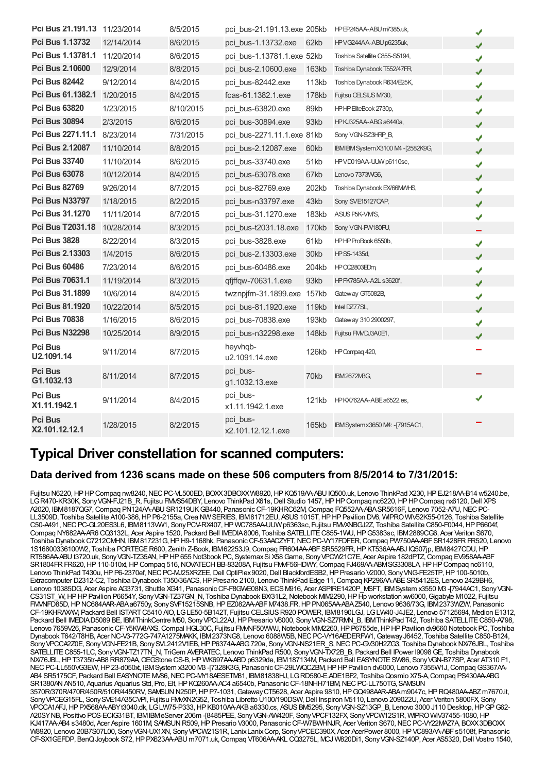| Pci Bus 21.191.13 11/23/2014     |            | 8/5/2015  | pci bus-21.191.13.exe 205kb    |       | HPEP245AA-ABU m7385.uk,            | ✔ |
|----------------------------------|------------|-----------|--------------------------------|-------|------------------------------------|---|
| <b>Pci Bus 1.13732</b>           | 12/14/2014 | 8/6/2015  | pci bus-1.13732.exe            | 62kb  | HPVG244AA-ABU p6235uk,             | J |
| Pci Bus 1.13781.1                | 11/20/2014 | 8/6/2015  | pci bus-1.13781.1.exe 52kb     |       | Toshiba Satellite C855-S5194,      | ✔ |
| <b>Pci Bus 2.10600</b>           | 12/9/2014  | 8/8/2015  | pci bus-2.10600.exe            | 163kb | Toshiba Dynabook T552/47FR,        | J |
| <b>Pci Bus 82442</b>             | 9/12/2014  | 8/4/2015  | pci bus-82442.exe              | 113kb | Toshiba Dynabook R634/E25K,        | ✔ |
| Pci Bus 61.1382.1                | 1/20/2015  | 8/4/2015  | fcas-61.1382.1.exe             | 178kb | Fujitsu CELSIUS M730,              | ✔ |
| <b>Pci Bus 63820</b>             | 1/23/2015  | 8/10/2015 | pci bus-63820.exe              | 89kb  | HPHP EiteBook 2730p,               | J |
| <b>Pci Bus 30894</b>             | 2/3/2015   | 8/6/2015  | pci bus-30894.exe              | 93kb  | HPKJ325AA-ABG a6440a,              | J |
| Pci Bus 2271.11.1                | 8/23/2014  | 7/31/2015 | pci bus-2271.11.1.exe 81kb     |       | Sony VGN-SZ3HRP B,                 | ✔ |
| <b>Pci Bus 2.12087</b>           | 11/10/2014 | 8/8/2015  | pci bus-2.12087.exe            | 60kb  | IBM IBM System X3100 M4 -[2582K9G, | J |
| <b>Pci Bus 33740</b>             | 11/10/2014 | 8/6/2015  | pci bus-33740.exe              | 51kb  | HPVD019AA-UUW p6110sc,             | ✔ |
| <b>Pci Bus 63078</b>             | 10/12/2014 | 8/4/2015  | pci bus-63078.exe              | 67kb  | Lenovo 7373WG6,                    | J |
| <b>Pci Bus 82769</b>             | 9/26/2014  | 8/7/2015  | pci bus-82769.exe              | 202kb | Toshiba Dynabook EX/66MMHS,        | ✔ |
| <b>Pci Bus N33797</b>            | 1/18/2015  | 8/2/2015  | pci bus-n33797.exe             | 43kb  | Sony SVE15127CAP,                  | ✔ |
| Pci Bus 31.1270                  | 11/11/2014 | 8/7/2015  | pci bus-31.1270.exe            | 183kb | ASUS P5K-VM/S,                     | ✔ |
| <b>Pci Bus T2031.18</b>          | 10/28/2014 | 8/3/2015  | pci bus-t2031.18.exe           | 170kb | Sony VGN-FW180FU,                  |   |
| <b>Pci Bus 3828</b>              | 8/22/2014  | 8/3/2015  | pci bus-3828.exe               | 61kb  | HPHPProBook 6550b,                 | ✔ |
| <b>Pci Bus 2.13303</b>           | 1/4/2015   | 8/6/2015  | pci bus-2.13303.exe            | 30kb  | HPS5-1435d,                        | J |
| <b>Pci Bus 60486</b>             | 7/23/2014  | 8/6/2015  | pci bus-60486.exe              | 204kb | HP 002803EDm                       | ✔ |
| Pci Bus 70631.1                  | 11/19/2014 | 8/3/2015  | qfiffqw-70631.1.exe            | 93kb  | HP FK785AA-A2L s3620f,             | J |
| Pci Bus 31.1899                  | 10/6/2014  | 8/4/2015  | twznpifm-31.1899.exe           | 157kb | Gateway GT5082B,                   | ✔ |
| <b>Pci Bus 81.1920</b>           | 10/22/2014 | 8/5/2015  | pci bus-81.1920.exe            | 119kb | Intel DZ77SL,                      | J |
| <b>Pci Bus 70838</b>             | 1/16/2015  | 8/6/2015  | pci bus-70838.exe              | 193kb | Gateway 310 2900297,               | ✔ |
| <b>Pci Bus N32298</b>            | 10/25/2014 | 8/9/2015  | pci bus-n32298.exe             | 148kb | Fujitsu FM/DJ3A0E1,                | ✔ |
| <b>Pci Bus</b><br>U2.1091.14     | 9/11/2014  | 8/7/2015  | heyvhqb-<br>u2.1091.14.exe     | 126kb | HP Compag 420,                     |   |
| <b>Pci Bus</b><br>G1.1032.13     | 8/11/2014  | 8/7/2015  | pci bus-<br>g1.1032.13.exe     | 70kb  | <b>IBM2672MBG,</b>                 |   |
| <b>Pci Bus</b><br>X1.11.1942.1   | 9/11/2014  | 8/4/2015  | pci bus-<br>x1.11.1942.1.exe   | 121kb | HPKX762AA-ABEa6522.es,             | J |
| <b>Pci Bus</b><br>X2.101.12.12.1 | 1/28/2015  | 8/2/2015  | pci bus-<br>x2.101.12.12.1.exe | 165kb | IBM System x 3650 M4: - [7915AC1,  |   |

## **Typical Driver constellation for scanned computers:**

### **Data derived from 1236 scans made on these 506 computers from 8/5/2014 to 7/31/2015:**

Fujitsu N6220, HP HP Compaq nw8240, NEC PC-VL500ED, BOXX3DBOXXW8920, HP KQ519AA-ABU IQ500.uk, Lenovo ThinkPad X230, HP EJ218AA-B14 w5240.be, LGR470-KR30K, Sony VGN-FJ21B\_R, Fujitsu FMVS54DBY, Lenovo ThinkPad X61s, Dell Studio 1457, HP HP Compaq nc6220, HP HP Compaq nx6120, Dell XPS A2020, IBM8187QG7, Compaq PN124AA-ABU SR1219UKGB440, Panasonic CF-19KHRC62M, Compaq FQ552AA-ABA SR5616F, Lenovo 7052-A7U, NEC PC-LL3509D, Toshiba Satellite A100-386, HP P6-2155a, Crea NW SERIES, IBM81712EU, ASUS 1015T, HP HP Pavilion DV6, WIPRO WIV52K55-0126, Toshiba Satellite C50-A491, NEC PC-GL20ES3L6, IBM8113VW1, Sony PCV-RX407, HP WC785AA-UUW p6363sc, Fujitsu FMXNBGJ2Z, Toshiba Satellite C850-F0044, HP P6604f, Compaq NY682AA-AR6 CQ3132L, Acer Aspire 1520, Packard Bell IMEDIA8006, Toshiba SATELLITE C855-1WU, HP G5383sc, IBM 2889CG6, Acer Veriton S670, Toshiba Dynabook C7212CMHN, IBM817231G, HP H9-1168hk, Panasonic CF-53AACZYFT, NEC PC-VY17FDFER, Compaq PW750AA-ABF SR1428FR FR520, Lenovo 1S16800336100W2, Toshiba PORTEGER600, Zenith Z-Book, IBM62253J9,Compaq FR604AA-ABFSR5529FR,HPKT536AA-ABJ IQ507jp, IBM8427CDU,HP RT586AA-ABUt3720.uk, Sony VGN-TZ35AN, HPHP 655 Not3book PC, Systemax Si X58 Game, Sony VPCW21C7E, Acer Aspire 182dPTZ, Compaq EV958AA-ABF SR1804FRFR620, HP110-010xt, HP Compaq 516, NOVATECH BB-83208A, Fujitsu FMVF56HDWY, Compaq FJ469AA-ABMSG3308LA, HPHPCompaq nc6110, Lenovo ThinkPad T430u, HP P6-2370ef, NEC PC-MJ25XRZEE, Dell OptiPlex 9020, Dell BlackfordESB2, HP Presario V2000, Sony VNG-FE25TP, HP 100-5010b, Extracomputer D2312-C2, Toshiba Dynabook T350/36ACS,HPPresario 2100, Lenovo ThinkPad Edge 11,Compaq KP296AA-ABESR5412ES, Lenovo 2429BH6, Lenovo 10385DG, Acer Aspire AG3731, Shuttle XG41, PanasonicCF-F8GWE08N3, ECSM916, Acer ASPIRE1420P\_MSFT, IBMSystem x3550 M3 -[7944AC1, SonyVGN-CS31ST\_W,HPHPPavilion P6654Y, SonyVGN-TZ37GN\_N, Toshiba Dynabook BX/31L2,Notebook MIM2290,HPHp workstation xw6000,Gigabyte M1022, Fujitsu FMVNFD85D,HPNC684AAR-ABAa6750y, SonySVF15215SNB,HPEZ082AA-ABFM7438.FR,HPPN065AA-ABAZ540, Lenovo 9636/73G, IBM2373WZW, Panasonic CF-19KHRAXAM, Packard Bell ISTARTC5410 AIO, LGLE50-5B142T, Fujitsu CELSIUSR920 POWER, IBM8190LGJ, LGLW40-J4JE2, Lenovo 57125694, Medion E1312, Packard Bell IMEDIAD5089 BE, IBM ThinkCentre M50, Sony VPCL22AJ, HP Presario V6000, Sony VGN-SZ7RMN B, IBM ThinkPad T42, Toshiba SATELLITE C850-A798, Lenovo 7659V26, Panasonic CF-Y5KW8AXS, Compal HGL30C, Fujitsu FMMF50WWJ, Notebook MIM2260, HP P6755de, HP HP Pavilion dv9660 Notebook PC, Toshiba Dynabook T642/T8HB, Acer NC-V3-772G-747A1275MAKK, IBM2373NG8, Lenovo 6088W5B, NEC PC-VY16AEDERFW1, Gateway J6452, Toshiba Satellite C850-B124, Sony VPCCA2Z0E, Sony VGN-FE21B, Sony SVL2412V1EB, HP P6374A-ABG 720a, Sony VGN-NS21ER\_S, NEC PC-GV30H2ZG3, Toshiba Dynabook NX76JBL, Toshiba SATELLITE C855-1LC, Sony VGN-TZ17TN\_N, TriGem AVERATEC, Lenovo ThinkPad R500, Sony VGN-TX72B\_B, Packard Bell IPower I9098 GE, Toshiba Dynabook NX/76JBL, HP T3735tr-AB8 RR879AA, OEGStone CS-B, HP WK697AA-ABD p6329de, IBM 187134M, Packard Bell EASYNOTE SW86, Sony VGN-B77SP, Acer AT310 F1, NEC PC-LL550VG3EW, HP 23-d050xt, IBMSystem x3200 M3 -[7328K3G, Panasonic CF-29LWQCZBM, HP HP Pavilion dv6000, Lenovo 7355W1J, Compaq GS367AA-AB4 SR5175CF, Packard Bell EASYNOTE M/86, NEC PC-MY18AESETM81, IBM81838HJ, LGRD580-E.ADE1BF2, Toshiba Qosmio X75-A, Compaq PS430AA-BG SR1380AN AN510, Aquarius Aquarius Std, Pro, Elt, HP KQ260AA-AC4 a6540b, Panasonic CF-18NHH71BM, NEC PC-LL750TG, SAMSUN 3570R/370R/470R/450R/510R/4450RV, SAMSUNN250P,HPP7-1031,GatewayCT5628, Acer Aspire 9810,HPGQ498AAR-ABAm9047c,HPRQ480AA-ABZm7670.it, SonyVPCEG15FL, SonySVE14A35CVPI, Fujitsu FMVXN2G52, Toshiba Libretto U100/190DSW,Dell Inspiron M5110, Lenovo 209022U, Acer Veriton 5800FX, Sony VPCCA1AFJ, HP PX568AA-ABYt3040.dk, LGLW75-P333, HP KB010AA-AKB a6330.cs, ASUS BM5295, Sony VGN-SZ13GP\_B, Lenovo 3000 J110 Desktop, HPGPG62-A20SYNB, Positivo POS-ECIG31BT, IBMIBMeServer 206m -[8485PEE, SonyVGN-AW420F, SonyVPCF132FX, SonyVPCW12S1R, WIPROWIV37455-1080,HP KJ417AA-AB4 s3480d, Acer Aspire 1601M, SAMSUN R509, HP Presario V3000, Panasonic CF-W7BWHNJR, Acer Veriton S670, NEC PC-VY22MAZ7A, BOXX3DBOXX W8920, Lenovo 20B7S07L00, SonyVGN-UX1XN, SonyVPCW21S1R, LanixLanixCorp, SonyVPCEC390X, Acer AcerPower 8000,HPVC893AA-ABFs5108f, Panasonic CF-SX1GEFDP, BenQJoybook S72,HPPX623AA-ABU m7071.uk,Compaq VT606AA-AKL CQ3275L, MCJ W820Di1, SonyVGN-SZ140P, Acer AS5320,Dell Vostro 1540,